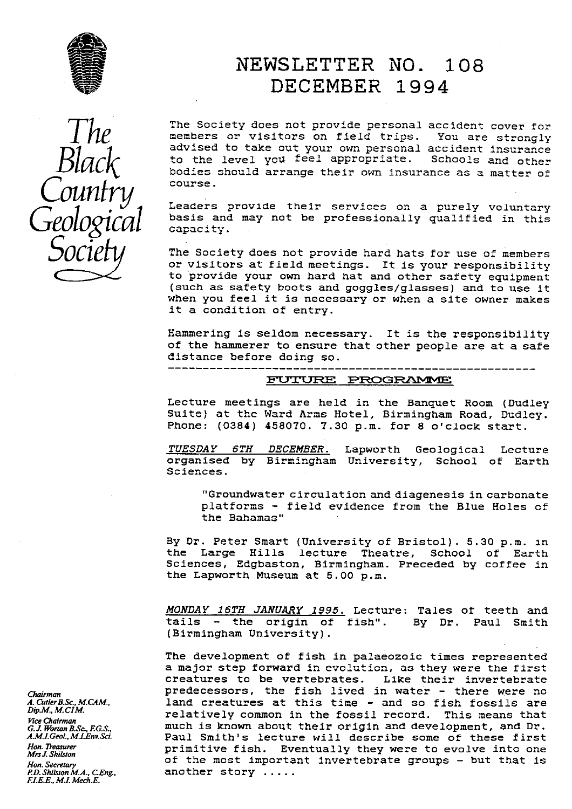

# The Punch Counfry

# NEWSLETTER NO. 108 DECEMBER 1994

The Society does not provide personal accident cover for members or visitors on field trips. You are strongly advised to take out your own personal accident insurance advised to take out your own personal accident insurance<br>to the level you feel appropriate. Schools and other bodies should arrange their own insurance as a matter of course.

Leaders provide their services on a purely voluntary basis and may not be professionally qualified in this capacity.

The Society does not provide hard hats for use of members or visitors at field meetings. It is your responsibility to provide your own hard hat and other safety equipment (such as safety boots and goggles/glasses) and to use it when you feel it is necessary or when a site owner makes it a condition of entry.

Hammering is seldom necessary. It is the responsibility of the hammerer to ensure that other people are at a safe distance before doing so.

## -------------------------------------------------------

Lecture meetings are held in the Banquet Room (Dudley Suite) at the Ward Arms Hotel, Birmingham Road, Dudley. Phone: (0384) 458070. 7.30 p.m. for 8 o'clock start.

TUESDAY 6TH DECEMBER. Lapworth Geological Lecture organised by Birmingham University, School of Earth Sciences.

"Groundwater circulation and diagenesis in carbonate platforms - field evidence from the Blue Holes of the Bahamas"

By Dr. Peter Smart (University of Bristol). 5.30 p.m. in the Large Hills lecture Theatre, School of Earth Sciences, Edgbaston, Birmingham. Preceded by coffee in the Lapworth Museum at 5.00 p.m.

*MONDAY 16TH JANUARY 1995.* Lecture: Tales of teeth and tails - the origin of fish". By Dr. Paul Smith (Birmingham University).

The development of fish in palaeozoic times represented a major step forward in evolution, as they were the first creatures to be vertebrates. Like their invertebrate *Chairman* **predecessors, the fish lived in water - there were no**<br>*A. Cutler B.Sc. M.CAM.* **1and creatures at this time - and so fish fossils are** *A. Culler B.Sc., M.CAM.*<br>*Dip.M., M.CIM.* **1999 1999 1999 1999 1999 1999 1999 1999 1999 1999 1999 1999 1999 1999 1999** relatively common in the fossil record. This means that much is known about their origin and development, and Dr. *A.M.I.GeoL.,M.I.Env.Sci.* Paul Smith's lecture will describe some of these first *Hon-neasurer* primitive fish. Eventually they were to evolve into one *Mrs J. Shilsron* of the most important invertebrate groups - but that is another story ....

*Fice Chairma G. J. Worton B.Sc., F.G.S.,<br>A.M.I.Geol., M.I.Env.Sci. Hon. Secretary*<br>*P.D. Shilston M.A., C.Eng., EI.E.E., M.I. Mech.E.*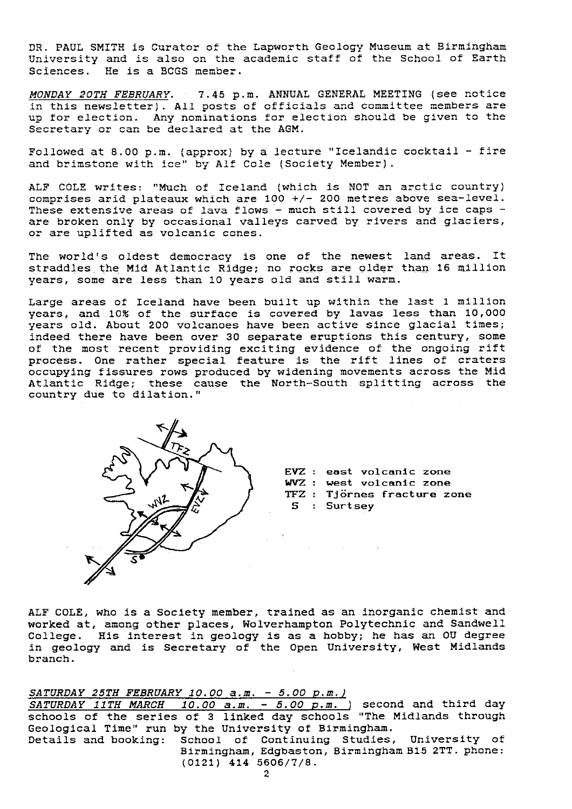DR. PAUL SMITH is Curator of the Lapworth Geology Museum at Birmingham University and is also on the academic staff of the School of Earth Sciences. He is a BCGS member.

MONDAY 20TH FEBRUARY. 7.45 p.m. ANNUAL GENERAL MEETING (see notice in this newsletter). All posts of officials and committee members are up for election. Any nominations for election should be given to the Secretary or can be declared at the AGM.

Followed at 8.00 p.m. (approx) by a lecture "Icelandic cocktail - fire and brimstone with ice" by Alf Cole (Society Member).

ALF COLE writes: "Much of Iceland (which is NOT an arctic country) comprises arid plateaux which are 100 +/- 200 metres above sea-level. These extensive areas of lava flows - much still covered by ice caps are broken only by occasional valleys carved by rivers and glaciers or are uplifted as volcanic cones.

The world's oldest democracy is one of the newest land areas. It straddles the Mid Atlantic Ridge; no rocks are older than 16 million years, some are less than 10 years old and still warm.

Large areas of Iceland have been built up within the last 1 million years, and 10% of the surface is covered by lavas less than 10,000 years old. About 200 volcanoes have been active since glacial times; indeed there have been over 30 separate eruptions this century, some of the most recent providing exciting evidence of the ongoing rift process. One rather special feature is the rift lines of craters occupying fissures rows produced by widening movements across the Mid Atlantic Ridge; these cause the North-South splitting across the country due to dilation."



**EVZ : east** volcanic zone WVZ : west volcanic zone TFZ : Tj **irnes** fracture zone S : Surtsey

ALF COLE, who is a Society member, trained as an inorganic chemist and worked at, among other places, Wolverhampton Polytechnic and Sandwell College. His interest in geology is as a hobby; he has an OU degree in geology and is Secretary of the Open University, West Midlands branch.

*SATURDAY 25TH FEBRUARY 10.00 a.m. - 5.00 P.M.1*

*SATURDAY 11TH MARCH 10.00 a.m. - 5.00* **p.m\_) second and** third day schools of the series of 3 linked day schools "The Midlands through Geological Time" run by the University of Birmingham.

Details and booking: School of Continuing Studies, University of Birmingham, Edgbaston, Birmingham B15 2TT. phone: **( 0121) 414 5606/7/8.**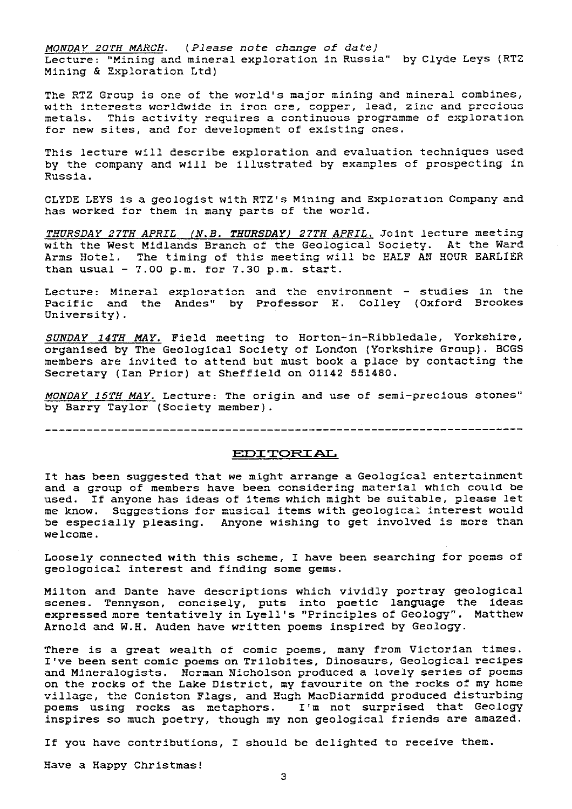*MONDAY 20TH MARCH. ( Please note change of* date) Lecture: "Mining and mineral exploration in Russia" by Clyde Leys (RTZ Mining & Exploration Ltd)

The RTZ Group is one of the world's major mining and mineral combines, with interests worldwide in iron ore, copper, lead, zinc and precious metals. This activity requires a continuous programme of exploration for new sites, and for development of existing ones.

This lecture will describe exploration and evaluation techniques used by the company and will be illustrated by examples of prospecting in Russia.

CLYDE LEYS is a geologist with RTZ 's Mining and Exploration Company and has worked for them in many parts of the world.

THURSDAY *T APRIL (N.B. THURSDAY) 27TH* APRIL. Joint lecture meeting with the West Midlands Branch of the Geological Society. At the Ward Arms Hotel. The timing of this meeting will be HALF AN HOUR EARLIER than usual  $-7.00$  p.m. for  $7.30$  p.m. start.

Lecture: Mineral exploration and the environment - studies in the Pacific and the Andes" by Professor H. Colley (Oxford Brookes University).

**SUNDAY 14TH MAY.** Field meeting to Horton-in-Ribbledale, Yorkshire, organised by The Geological Society of London (Yorkshire Group). BCGS members are invited to attend but must book a place by contacting the Secretary (Ian Prior) at Sheffield on 01142 551480.

MONDAY 15TH MAY. Lecture: The origin and use of semi-precious stones" by Barry Taylor (Society member).

-----------------------------------------------------------------------

#### EDITORIAL

It has been suggested that we might arrange a Geological entertainment and a group of members have been considering material which could be used. If anyone has ideas of items which might be suitable, please let me know. Suggestions for musical items with geological interest would be especially pleasing. Anyone wishing to get involved is more than welcome.

Loosely connected with this scheme, I have been searching for poems of geologoical interest and finding some gems.

Milton and Dante have descriptions which vividly portray geological scenes. Tennyson, concisely, puts into poetic language the ideas expressed more tentatively in Lyell's "Principles of Geology". Matthew Arnold and W.H. Auden have written poems inspired by Geology.

There is a great wealth of comic poems, many from Victorian times. I've been sent comic poems on Trilobites, Dinosaurs, Geological recipes and Mineralogists. Norman Nicholson produced a lovely series of poems on the rocks of the Lake District, my favourite on the rocks of my home village, the Coniston Flags, and Hugh MacDiarmidd produced disturbing poems using rocks as metaphors. I'm not surprised that Geology inspires so much poetry, though my non geological friends are amazed.

If you have contributions, I should be delighted to receive them.

Have a Happy Christmas!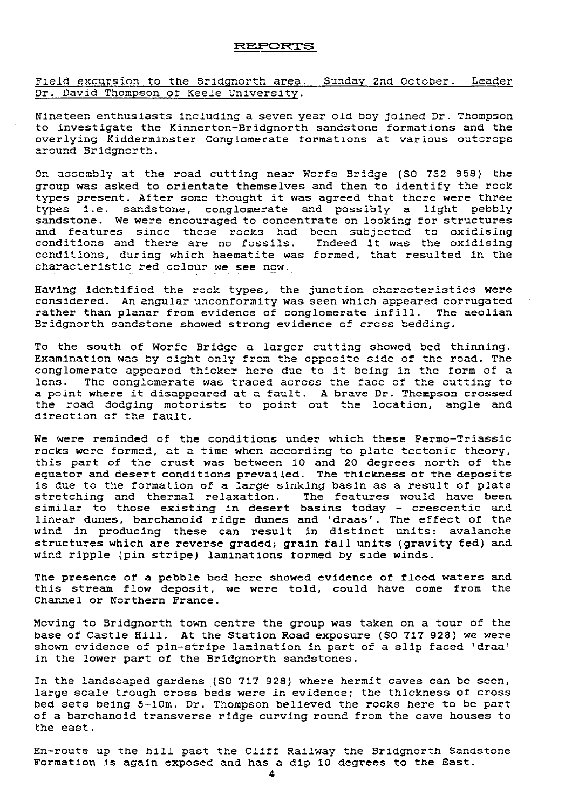#### **T EPC3RTS**

Field excursion to the Bridgnorth area. Sunday 2nd October. Leader Dr. David Thompson of Keele University. nday 2nd October.<br>1<br>1d boy joined Dr. Thom

Nineteen enthusiasts including a seven year old boy joined Dr. Thompson to investigate the Kinnerton-Bridgnorth sandstone formations and the overlying Kidderminster Conglomerate formations at various outcrops around Bridgnorth.

On assembly at the road cutting near Worfe Bridge (SO 732 958) the group was asked to orientate themselves and then to identify the rock types present. After some thought it was agreed that there were three types i.e. sandstone, conglomerate and possibly a light pebbly sandstone. We were encouraged to concentrate on looking for structures and features since these rocks had been subjected to oxidising conditions and there are no fossils. Indeed it was the oxidising conditions, during which haematite was formed, that resulted in the characteristic red colour we see now.

Having identified the rock types, the junction characteristics were considered. An angular unconformity was seer. which appeared corrugated rather than planar from evidence of conglomerate infill. The aeolian Bridgnorth sandstone showed strong evidence of cross bedding.

To the south of Worfe Bridge a larger cutting showed bed thinning. Examination was by sight only from the opposite side of the road. The conglomerate appeared thicker here due to it being in the form of a lens. The conglomerate was traced across the face of the cutting to a point where it disappeared at a fault. A brave Dr. Thompson crossed the road dodging motorists to point out the location, angle and direction of the fault.

We were reminded of the conditions under which these Permo-Triassic rocks were formed, at a time when according to plate tectonic theory, this part of the crust was between 10 and 20 degrees north of the equator and desert conditions prevailed. The thickness of the deposits is due to the formation of a large sinking basin as a result of plate stretching and thermal relaxation. The features would have been similar to those existing in desert basins today - crescentic and linear dunes, barchanoid ridge dunes and 'draas'. The effect of the wind in producing these can result in distinct units: avalanche structures which are reverse graded; grain fall units (gravity fed) and wind ripple (pin stripe) laminations formed by side winds.

The presence of a pebble bed here showed evidence of flood waters and this stream flow deposit, we were told, could have come from the Channel or Northern France.

Moving to Bridgnorth town centre the group was taken on a tour of the base of Castle Hill. At the Station Road exposure (SO 717 928) we were shown evidence of pin-stripe lamination in part of a slip faced 'draa' in the lower part of the Bridgnorth sandstones.

In the landscaped gardens (SO 717 928) where hermit caves can be seen, large scale trough cross beds were in evidence; the thickness of cross bed sets being 5-1Cm. Dr. Thompson believed the rocks here to be part of a barchanoid transverse ridge curving round from the cave houses to the east.

En-route up the hill past the Cliff Railway the Bridgnorth Sandstone Formation is again exposed and has a dip 10 degrees to the East.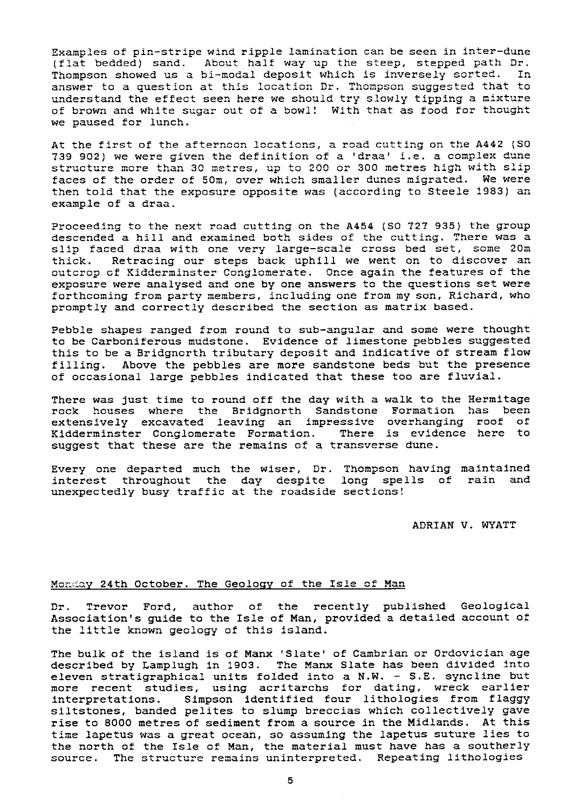Examples of pin-stripe wind ripple lamination can be seen in inter-dune (flat bedded) sand. About half way up the steep, stepped path Dr.<br>Thompson showed us a bi-modal deposit which is inversely sorted. In Thompson showed us a bi-modal deposit which is inversely sorted. answer to a question at this location Dr. Thompson suggested that to understand the effect seen here we should try slowly tipping a mixture of brown and white sugar out of a bowl! With that as food for thought we paused for lunch.

At the first of the afternoon locations, a road cutting on the A442 (SO 739 902) we were given the definition of a 'draa' i.e. a complex dune structure more than 30 metres, up to 200 or 300 metres high with slip faces of the order of 50m, over which smaller dunes migrated. We were then told that the exposure opposite was (according to Steele 1983) an example of a draa.

Proceeding to the next road cutting on the A454 (SO 727 935) the group descended a hill and examined both sides of the cutting. There was a slip faced draa with one very large-scale cross bed set, some 20m thick. Retracing our steps back uphill we went on to discover an outcrop of Kidderminster Conglomerate. Once again the features of the exposure were analysed and one by one answers to the questions set were forthcoming from party members, including one from my son, Richard, who promptly and correctly described the section as matrix based.

Pebble shapes ranged from round to sub-angular and some were thought to be Carboniferous mudstone. Evidence of limestone pebbles suggested this to be a Bridgncrth tributary deposit and indicative of stream flow filling. Above the pebbles are more sandstone beds but the presence of occasional large pebbles indicated that these too are fluvial.

There was just time to round off the day with a walk to the Hermitage rock houses where the Bridgnorth Sandstone Formation has been extensively excavated leaving an impressive overhanging roof of Kidderminster Conglomerate Formation. There is evidence here to suggest that these are the remains of a transverse dune.

Every one departed much the wiser, Dr. Thompson having maintained interest throughout the day despite long spells of rain and unexpectedly busy traffic at the roadside sections!

ADRIAN V. WYATT

### Monday 24th October. The Geology of the Isle of Man

Dr. Trevor Ford, author of the recently published Geological Association's guide to the Isle of Man, provided a detailed account of the little known geology of this island.

The bulk of the island is of Manx 'Slate' of Cambrian or Ordovician age described by Lamplugh in 1903. The Manx Slate has been divided into eleven stratigraphical units folded into a N.W. - S.E. syncline but more recent studies, using acritarchs for dating, wreck earlier<br>interpretations. Simpson identified four lithologies from flaggy Simpson identified four lithologies from flaggy siltstones, banded pelites to slump breccias which collectively gave rise to 8000 metres of sediment from a source in the Midlands. At this time Iapetus was a great ocean, so assuming the Iapetus suture lies to the north of the Isle of Man, the material must have has a southerly source. The structure remains uninterpreted. Repeating lithologies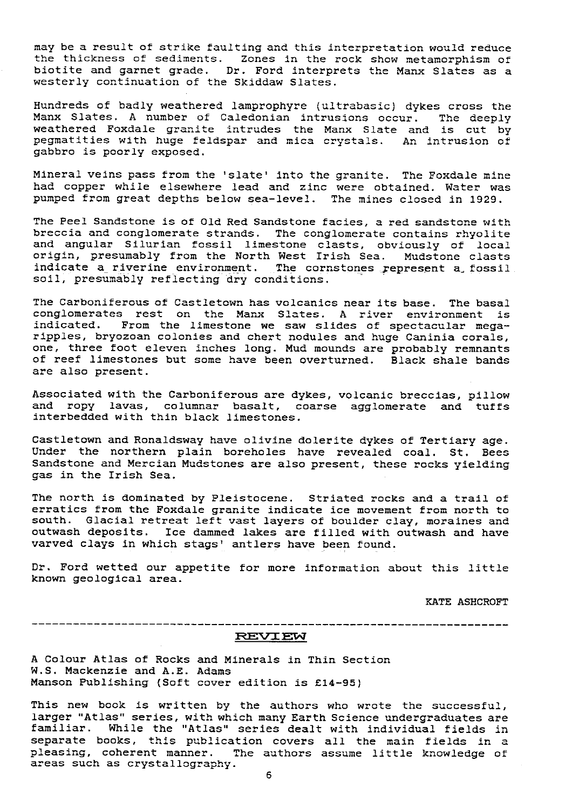may be a result of strike faulting and this interpretation would reduce the thickness of sediments. Zones in the rock show metamorphism of biotite and garnet grade. Dr. Ford interprets the Manx Slates as a westerly continuation of the Skiddaw Slates.

Hundreds of badly weathered lamprophyre (ultrabasic) dykes cross the Manx Slates. A number of Caledonian intrusions occur. The deeply weathered Foxdale granite intrudes the Manx Slate and is cut by pegmatities with huge feldspar and mica crystals. An intrusion of gabbro is poorly exposed.

Mineral veins pass from the 'slate' into the granite. The Foxdale mine had copper while elsewhere lead and zinc were obtained. Water was pumped from great depths below sea-level. The mines closed in 1929.

The Peel Sandstone is of Old Red Sandstone facies, a red sandstone with breccia and conglomerate strands. The conglomerate contains rhyolite and angular Silurian fossil limestone clasts, obviously of local origin, presumably from the North West Irish Sea. Mudstone clast: indicate a riverine environment. The cornstones represent a fossil soil, presumably reflecting dry conditions.

The Carboniferous of Castletown has volcanics near its base. The basal conglomerates rest on the Manx Slates. A river environment is indicated. From the limestone we saw slides of spectacular megaripples, bryozoan colonies and chert nodules and huge Caninia corals, one, three foot eleven inches long. Mud mounds are probably remnants of reef limestones but some have been overturned. Black shale bands are also present.

Associated with the Carboniferous are dykes, volcanic breccias, pillow and ropy lavas, columnar basalt, coarse agglomerate and tuffs interbedded with thin black limestones.

Castletown and Ronaldsway have olivine dolerite dykes of Tertiary age. Under the northern plain boreholes have revealed coal. St. Bees Sandstone and Mercian Mudstones are also present, these rocks yielding gas in the Irish Sea.

The north is dominated by Pleistocene. Striated rocks and a trail of erratics from the Foxdale granite indicate ice movement from north to south. Glacial retreat left vast layers of boulder clay, moraines and outwash deposits. Ice dammed lakes are filled with outwash and have varved clays in which stags' antlers have been found.

Dr. Ford wetted our appetite for more information about this little known geological area.

KATE ASHCROFT

#### REVIEW

A Colour Atlas of Rocks and Minerals in Thin Section W.S. Mackenzie and **A.L.** Adams Manson Publishing (Soft cover edition is £14-95)

This new book is written by the authors who wrote the successful, larger "Atlas" series, with which many Earth Science undergraduates are familiar. While the "Atlas" series dealt with individual fields in separate books, this publication covers all the main fields in a pleasing, coherent manner. The authors assume little knowledge of areas such as crystallography.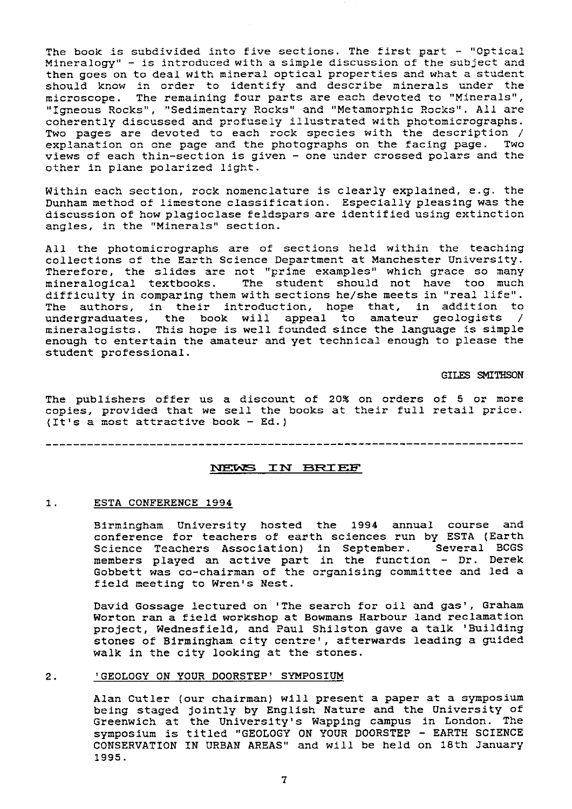The book is subdivided into five sections. The first part - "Optical Mineralogy " - is introduced with a simple discussion of the subject and then goes on to deal with mineral optical properties and what a student should know in order to identify and describe minerals under the microscope. The remaining four parts are each devoted to "Minerals", "Igneous Rocks", "Sedimentary Rocks" and "Metamorphic Rocks". All are coherently discussed and profusely illustrated with photomicrographs. Two pages are devoted to each rock species with the description /<br>explanation on one page and the photographs on the facing page. Two explanation on one page and the photographs on the facing page. views of each thin-section is given - one under crossed polars and the other in plane polarized light.

Within each section, rock nomenclature is clearly explained, e.g. the Dunham method of limestone classification. Especially pleasing was the discussion of how plagioclase feldspars are identified using extinction angles, in the "Minerals" section.

All the photomicrographs are of sections held within the teaching collections of the Earth Science Department at Manchester University. Therefore, the slides are not "prime examples" which grace so many mineralogical textbooks. The student should not have too much difficulty in comparing them with sections he/she meets in "real life". The authors, in their introduction, hope that, in addition to undergraduates, the book will appeal to amateur geologists mineralogists. This hope is well founded since the language is simple enough to entertain the amateur and yet technical enough to please the student professional.

GILES SMIfliSON

The publishers offer us a discount of 20% on orders of 5 or more copies, provided that we sell the books at their full retail price. (It's a most attractive book - Ed.)

#### NEWS IN BRIEF

#### 1. ESTA CONFERENCE 1994

Birmingham University hosted the 1994 annual course and conference for teachers of earth sciences run by ESTA (Earth Science Teachers Association) in September. Several BCGS members played an active part in the function - Dr. Derek Gobbett was co-chairman of the organising committee and led a field meeting to Wren's Nest.

David Gossage lectured on 'The search for oil and gas', Graham Worton ran a field workshop at Bowmans Harbour land reclamation project, Wednesfield, and Paul Shilston gave a talk 'Building stones of Birmingham city centre', afterwards leading a guided walk in the city looking at the stones.

#### 2. 'GEOLOGY ON YOUR DOORSTEP' SYMPOSIUM

Alan Cutler (our chairman) will present a paper at a symposium being staged jointly by English Nature and the University of Greenwich at the University's Wapping campus in London. The symposium is titled "GEOLOGY ON YOUR DOORSTEP - EARTH SCIENCE CONSERVATION IN URBAN AREAS" and will be held on 18th January 1995.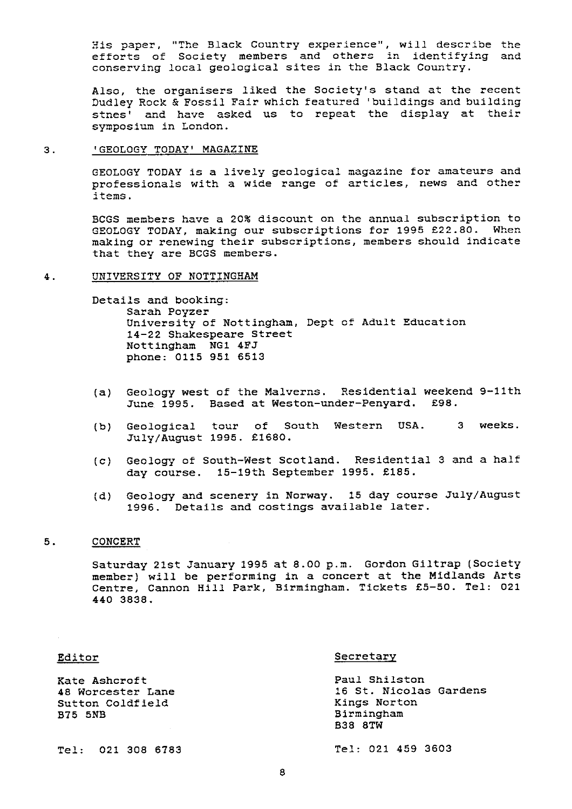His paper, "The Black Country experience", will describe the efforts of Society members and others in identifying and conserving local geological sites in the Black Country.

Also, the organisers liked the Society's stand at the recent Dudley Rock & Fossil Fair which featured 'buildings and building stnes' and have asked us to repeat the display at their symposium in London.

#### 3. GEOLOGY TODAY' MAGAZINE

GEOLOGY TODAY is a lively geological magazine for amateurs and professionals with a wide range of articles, news and other items.

BCGS members have a 20% discount on the annual subscription to GEOLOGY TODAY, making our subscriptions for 1995 £22.80. When making or renewing their subscriptions, members should indicate that they are BCGS members.

#### 4. UNIVERSITY OF NOTTINGHAM

Details and booking: Sarah Poyzer University of Nottingham, Dept of Adult Education 14-22 Shakespeare Street Nottingham NG1 4FJ phone: 0115 951 6513

- (a) Geology west of the Malverns. Residential weekend 9-11th June 1995. Based at Weston-under-Penyard. £98.
- (b) Geological tour of South Western USA. 3 weeks. July/August 1995. £1680.
- (c) Geology of South-West Scotland. Residential 3 and a half day course. 15-19th September 1995. £185.
- (d) Geology and scenery in Norway. 15 day course July/August 1996. Details and costings available later.

#### 5. CONCERT

Saturday 21st January 1995 at 8.00 p.m. Gordon Giltrap (Society member) will be performing in a concert at the Midlands Arts Centre, Cannon Hill Park, Birmingham. Tickets £5**-50. Tel: 021 440 3838.**

| $\sim$ | L<br>w<br>. | u | . . |  |
|--------|-------------|---|-----|--|
|        |             |   |     |  |

#### Editor Secretary

| Kate Ashcroft<br>48 Worcester Lane<br>Sutton Coldfield<br>B75 5NB | Paul Shilston<br>16 St. Nicolas Gardens<br>Kings Norton<br>Birmingham<br><b>B38 8TW</b> |  |  |
|-------------------------------------------------------------------|-----------------------------------------------------------------------------------------|--|--|
| Tel: 021 308 6783                                                 | Tel: 021 459 3603                                                                       |  |  |